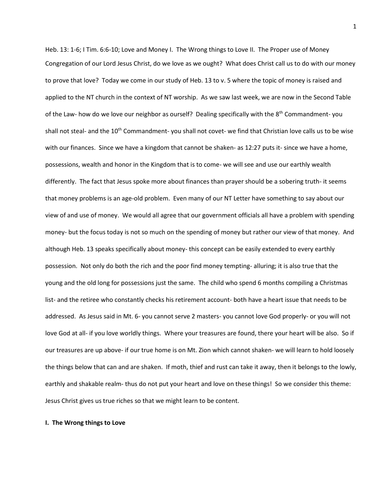Heb. 13: 1-6; I Tim. 6:6-10; Love and Money I. The Wrong things to Love II. The Proper use of Money Congregation of our Lord Jesus Christ, do we love as we ought? What does Christ call us to do with our money to prove that love? Today we come in our study of Heb. 13 to v. 5 where the topic of money is raised and applied to the NT church in the context of NT worship. As we saw last week, we are now in the Second Table of the Law- how do we love our neighbor as ourself? Dealing specifically with the 8<sup>th</sup> Commandment- you shall not steal- and the 10<sup>th</sup> Commandment- you shall not covet- we find that Christian love calls us to be wise with our finances. Since we have a kingdom that cannot be shaken- as 12:27 puts it- since we have a home, possessions, wealth and honor in the Kingdom that is to come- we will see and use our earthly wealth differently. The fact that Jesus spoke more about finances than prayer should be a sobering truth- it seems that money problems is an age-old problem. Even many of our NT Letter have something to say about our view of and use of money. We would all agree that our government officials all have a problem with spending money- but the focus today is not so much on the spending of money but rather our view of that money. And although Heb. 13 speaks specifically about money- this concept can be easily extended to every earthly possession. Not only do both the rich and the poor find money tempting- alluring; it is also true that the young and the old long for possessions just the same. The child who spend 6 months compiling a Christmas list- and the retiree who constantly checks his retirement account- both have a heart issue that needs to be addressed. As Jesus said in Mt. 6- you cannot serve 2 masters- you cannot love God properly- or you will not love God at all- if you love worldly things. Where your treasures are found, there your heart will be also. So if our treasures are up above- if our true home is on Mt. Zion which cannot shaken- we will learn to hold loosely the things below that can and are shaken. If moth, thief and rust can take it away, then it belongs to the lowly, earthly and shakable realm- thus do not put your heart and love on these things! So we consider this theme: Jesus Christ gives us true riches so that we might learn to be content.

## **I. The Wrong things to Love**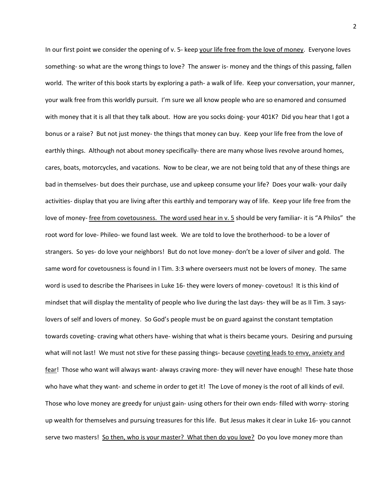In our first point we consider the opening of v. 5- keep your life free from the love of money. Everyone loves something- so what are the wrong things to love? The answer is- money and the things of this passing, fallen world. The writer of this book starts by exploring a path- a walk of life. Keep your conversation, your manner, your walk free from this worldly pursuit. I'm sure we all know people who are so enamored and consumed with money that it is all that they talk about. How are you socks doing- your 401K? Did you hear that I got a bonus or a raise? But not just money- the things that money can buy. Keep your life free from the love of earthly things. Although not about money specifically- there are many whose lives revolve around homes, cares, boats, motorcycles, and vacations. Now to be clear, we are not being told that any of these things are bad in themselves- but does their purchase, use and upkeep consume your life? Does your walk- your daily activities- display that you are living after this earthly and temporary way of life. Keep your life free from the love of money- free from covetousness. The word used hear in v. 5 should be very familiar- it is "A Philos" the root word for love- Phileo- we found last week. We are told to love the brotherhood- to be a lover of strangers. So yes- do love your neighbors! But do not love money- don't be a lover of silver and gold. The same word for covetousness is found in I Tim. 3:3 where overseers must not be lovers of money. The same word is used to describe the Pharisees in Luke 16- they were lovers of money- covetous! It is this kind of mindset that will display the mentality of people who live during the last days- they will be as II Tim. 3 sayslovers of self and lovers of money. So God's people must be on guard against the constant temptation towards coveting- craving what others have- wishing that what is theirs became yours. Desiring and pursuing what will not last! We must not stive for these passing things- because coveting leads to envy, anxiety and fear! Those who want will always want- always craving more- they will never have enough! These hate those who have what they want- and scheme in order to get it! The Love of money is the root of all kinds of evil. Those who love money are greedy for unjust gain- using others for their own ends- filled with worry- storing up wealth for themselves and pursuing treasures for this life. But Jesus makes it clear in Luke 16- you cannot serve two masters! So then, who is your master? What then do you love? Do you love money more than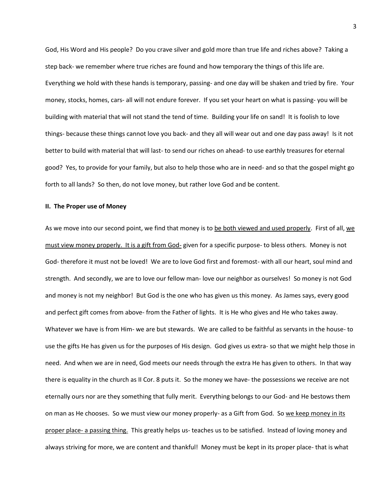God, His Word and His people? Do you crave silver and gold more than true life and riches above? Taking a step back- we remember where true riches are found and how temporary the things of this life are. Everything we hold with these hands is temporary, passing- and one day will be shaken and tried by fire. Your money, stocks, homes, cars- all will not endure forever. If you set your heart on what is passing- you will be building with material that will not stand the tend of time. Building your life on sand! It is foolish to love things- because these things cannot love you back- and they all will wear out and one day pass away! Is it not better to build with material that will last- to send our riches on ahead- to use earthly treasures for eternal good? Yes, to provide for your family, but also to help those who are in need- and so that the gospel might go forth to all lands? So then, do not love money, but rather love God and be content.

## **II. The Proper use of Money**

As we move into our second point, we find that money is to be both viewed and used properly. First of all, we must view money properly. It is a gift from God- given for a specific purpose- to bless others. Money is not God- therefore it must not be loved! We are to love God first and foremost- with all our heart, soul mind and strength. And secondly, we are to love our fellow man- love our neighbor as ourselves! So money is not God and money is not my neighbor! But God is the one who has given us this money. As James says, every good and perfect gift comes from above- from the Father of lights. It is He who gives and He who takes away. Whatever we have is from Him- we are but stewards. We are called to be faithful as servants in the house- to use the gifts He has given us for the purposes of His design. God gives us extra- so that we might help those in need. And when we are in need, God meets our needs through the extra He has given to others. In that way there is equality in the church as II Cor. 8 puts it. So the money we have- the possessions we receive are not eternally ours nor are they something that fully merit. Everything belongs to our God- and He bestows them on man as He chooses. So we must view our money properly- as a Gift from God. So we keep money in its proper place- a passing thing. This greatly helps us- teaches us to be satisfied. Instead of loving money and always striving for more, we are content and thankful! Money must be kept in its proper place- that is what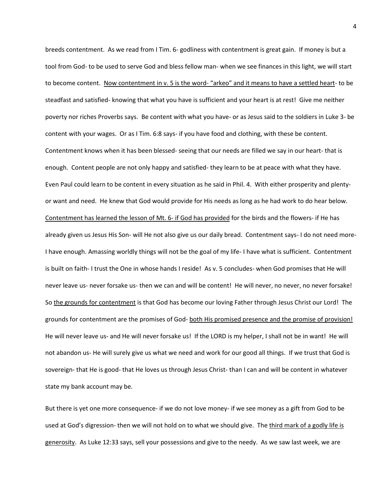breeds contentment. As we read from I Tim. 6- godliness with contentment is great gain. If money is but a tool from God- to be used to serve God and bless fellow man- when we see finances in this light, we will start to become content. Now contentment in v. 5 is the word- "arkeo" and it means to have a settled heart- to be steadfast and satisfied- knowing that what you have is sufficient and your heart is at rest! Give me neither poverty nor riches Proverbs says. Be content with what you have- or as Jesus said to the soldiers in Luke 3- be content with your wages. Or as I Tim. 6:8 says- if you have food and clothing, with these be content. Contentment knows when it has been blessed- seeing that our needs are filled we say in our heart- that is enough. Content people are not only happy and satisfied- they learn to be at peace with what they have. Even Paul could learn to be content in every situation as he said in Phil. 4. With either prosperity and plentyor want and need. He knew that God would provide for His needs as long as he had work to do hear below. Contentment has learned the lesson of Mt. 6- if God has provided for the birds and the flowers- if He has already given us Jesus His Son- will He not also give us our daily bread. Contentment says- I do not need more-I have enough. Amassing worldly things will not be the goal of my life- I have what is sufficient. Contentment is built on faith- I trust the One in whose hands I reside! As v. 5 concludes- when God promises that He will never leave us- never forsake us- then we can and will be content! He will never, no never, no never forsake! So the grounds for contentment is that God has become our loving Father through Jesus Christ our Lord! The grounds for contentment are the promises of God- both His promised presence and the promise of provision! He will never leave us- and He will never forsake us! If the LORD is my helper, I shall not be in want! He will not abandon us- He will surely give us what we need and work for our good all things. If we trust that God is sovereign- that He is good- that He loves us through Jesus Christ- than I can and will be content in whatever state my bank account may be.

But there is yet one more consequence- if we do not love money- if we see money as a gift from God to be used at God's digression- then we will not hold on to what we should give. The third mark of a godly life is generosity. As Luke 12:33 says, sell your possessions and give to the needy. As we saw last week, we are